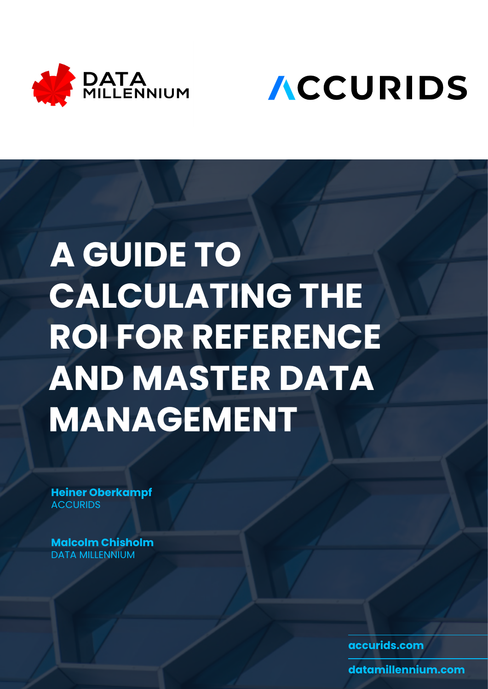



# **A GUIDE TO CALCULATING THE ROI FOR REFERENCE AND MASTER DATA MANAGEMENT**

**[Heiner Oberkampf](https://www.linkedin.com/in/heiner-oberkampf/) ACCURIDS** 

**[Malcolm Chisholm](https://www.linkedin.com/in/malcolmchisholm/)**  DATA MILLENNIUM

**[accurids.com](https://accurids.com)**

**[datamillennium.com](https://datamillennium.com)**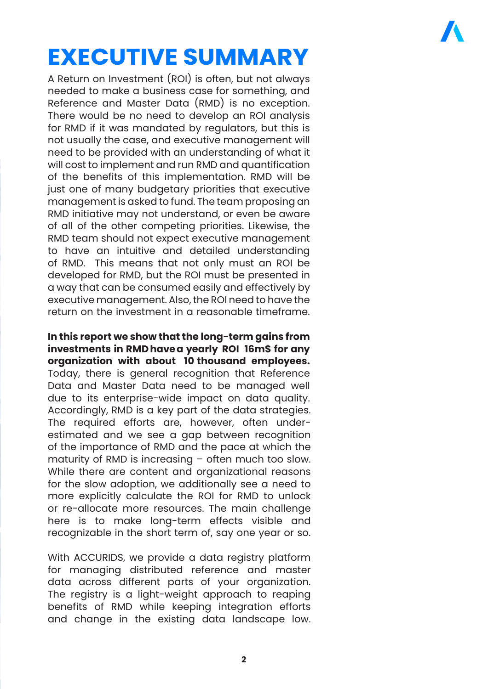### **EXECUTIVE SUMMARY**

A Return on Investment (ROI) is often, but not always needed to make a business case for something, and Reference and Master Data (RMD) is no exception. There would be no need to develop an ROI analysis for RMD if it was mandated by regulators, but this is not usually the case, and executive management will need to be provided with an understanding of what it will cost to implement and run RMD and quantification of the benefits of this implementation. RMD will be just one of many budgetary priorities that executive management is asked to fund. The team proposing an RMD initiative may not understand, or even be aware of all of the other competing priorities. Likewise, the RMD team should not expect executive management to have an intuitive and detailed understanding of RMD. This means that not only must an ROI be developed for RMD, but the ROI must be presented in a way that can be consumed easily and effectively by executive management. Also, the ROI need to have the return on the investment in a reasonable timeframe.

**In this report we show that the long-term gains from investments in RMD have a yearly ROI 16m\$ for any organization with about 10 thousand employees.** Today, there is general recognition that Reference Data and Master Data need to be managed well due to its enterprise-wide impact on data quality. Accordingly, RMD is a key part of the data strategies. The required efforts are, however, often underestimated and we see a gap between recognition of the importance of RMD and the pace at which the maturity of RMD is increasing – often much too slow. While there are content and organizational reasons for the slow adoption, we additionally see a need to more explicitly calculate the ROI for RMD to unlock or re-allocate more resources. The main challenge here is to make long-term effects visible and recognizable in the short term of, say one year or so.

With ACCURIDS, we provide a data registry platform for managing distributed reference and master data across different parts of your organization. The registry is a light-weight approach to reaping benefits of RMD while keeping integration efforts and change in the existing data landscape low.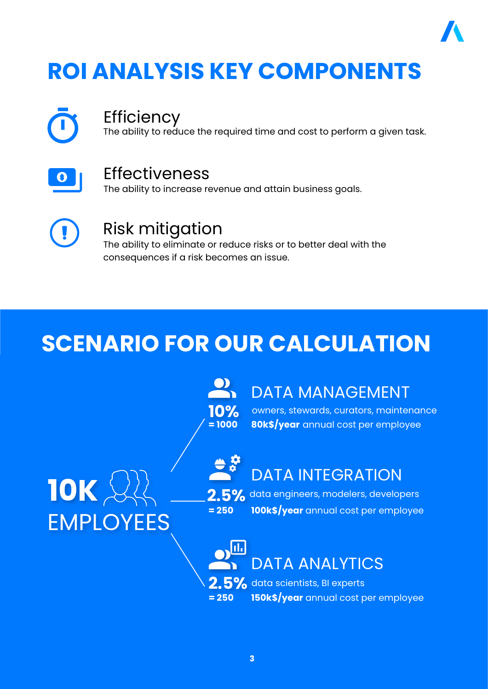### **ROI ANALYSIS KEY COMPONENTS**



#### **Efficiency**

The ability to reduce the required time and cost to perform a given task.



#### Effectiveness

The ability to increase revenue and attain business goals.



#### Risk mitigation

The ability to eliminate or reduce risks or to better deal with the consequences if a risk becomes an issue.

### **SCENARIO FOR OUR CALCULATION**

**= 1000 10%**

#### DATA MANAGEMENT

owners, stewards, curators, maintenance **80k\$/year** annual cost per employee

# **10K** EMPLOYEES



#### DATA INTEGRATION

**2.5%** data engineers, modelers, developers **100k\$/year** annual cost per employee **= 250** 

> hL DATA ANALYTICS

**2.5%** data scientists, BI experts **150k\$/year** annual cost per employee **= 250**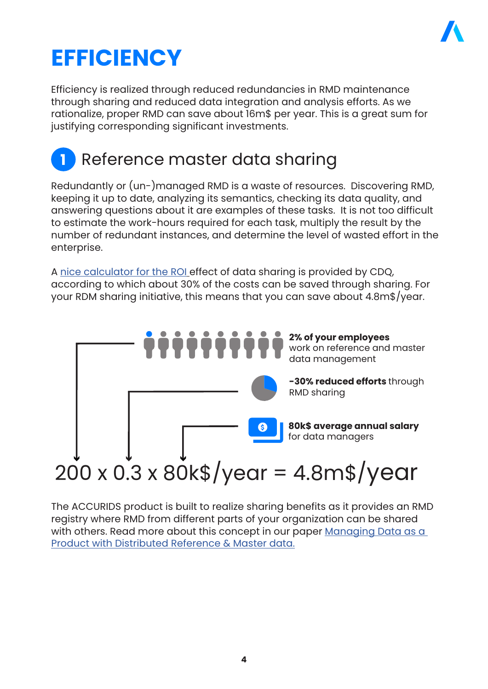

### **EFFICIENCY**

Efficiency is realized through reduced redundancies in RMD maintenance through sharing and reduced data integration and analysis efforts. As we rationalize, proper RMD can save about 16m\$ per year. This is a great sum for justifying corresponding significant investments.

#### **1** Reference master data sharing

Redundantly or (un-)managed RMD is a waste of resources. Discovering RMD, keeping it up to date, analyzing its semantics, checking its data quality, and answering questions about it are examples of these tasks. It is not too difficult to estimate the work-hours required for each task, multiply the result by the number of redundant instances, and determine the level of wasted effort in the enterprise.

A [nice calculator for the ROI](https://www.cdq.ch/businesscase) effect of data sharing is provided by CDQ, according to which about 30% of the costs can be saved through sharing. For your RDM sharing initiative, this means that you can save about 4.8m\$/year.



The ACCURIDS product is built to realize sharing benefits as it provides an RMD registry where RMD from different parts of your organization can be shared with others. Read more about this concept in our paper Managing Data as a [Product with Distributed Reference & Master data.](https://www.insights.accurids.com/rmdm)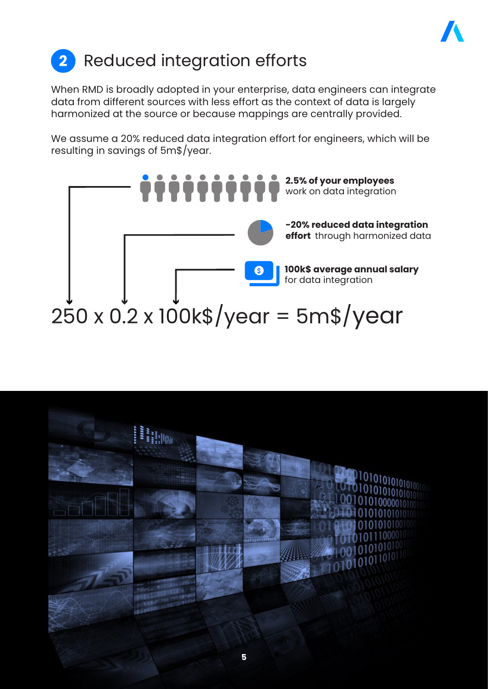

### **2** Reduced integration efforts

When RMD is broadly adopted in your enterprise, data engineers can integrate data from different sources with less effort as the context of data is largely harmonized at the source or because mappings are centrally provided.

We assume a 20% reduced data integration effort for engineers, which will be resulting in savings of 5m\$/year.



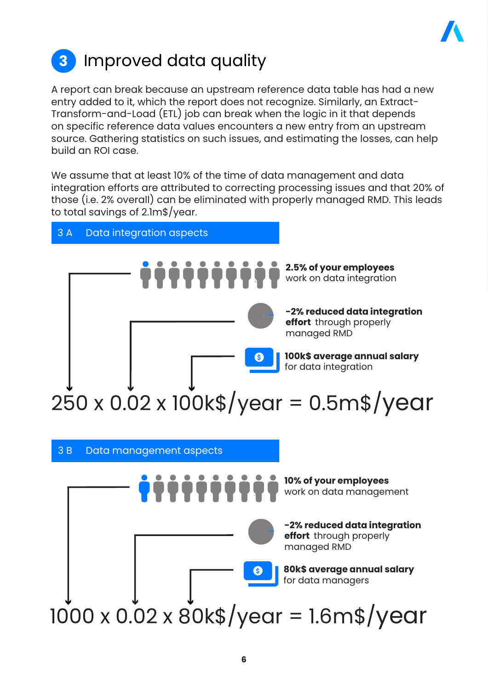

### **3** Improved data quality

A report can break because an upstream reference data table has had a new entry added to it, which the report does not recognize. Similarly, an Extract-Transform-and-Load (ETL) job can break when the logic in it that depends on specific reference data values encounters a new entry from an upstream source. Gathering statistics on such issues, and estimating the losses, can help build an ROI case.

We assume that at least 10% of the time of data management and data integration efforts are attributed to correcting processing issues and that 20% of those (i.e. 2% overall) can be eliminated with properly managed RMD. This leads to total savings of 2.1m\$/year.

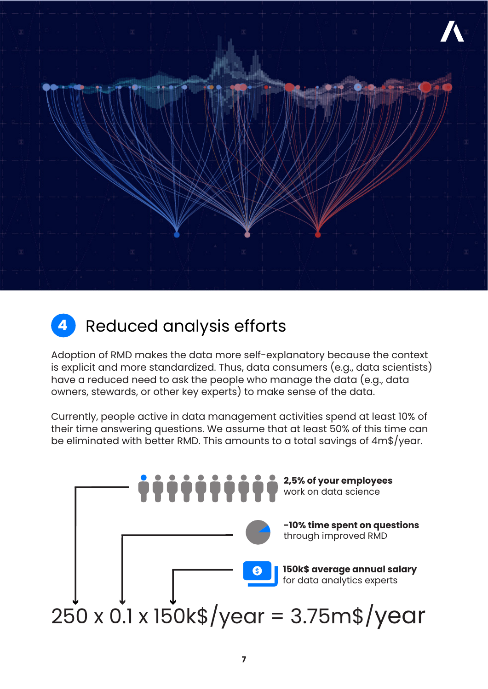

#### **4** Reduced analysis efforts

Adoption of RMD makes the data more self-explanatory because the context is explicit and more standardized. Thus, data consumers (e.g., data scientists) have a reduced need to ask the people who manage the data (e.g., data owners, stewards, or other key experts) to make sense of the data.

Currently, people active in data management activities spend at least 10% of their time answering questions. We assume that at least 50% of this time can be eliminated with better RMD. This amounts to a total savings of 4m\$/year.

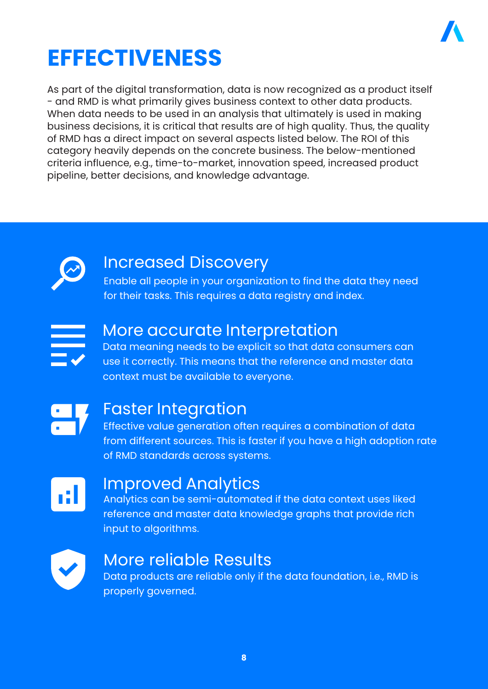

### **EFFECTIVENESS**

As part of the digital transformation, data is now recognized as a product itself - and RMD is what primarily gives business context to other data products. When data needs to be used in an analysis that ultimately is used in making business decisions, it is critical that results are of high quality. Thus, the quality of RMD has a direct impact on several aspects listed below. The ROI of this category heavily depends on the concrete business. The below-mentioned criteria influence, e.g., time-to-market, innovation speed, increased product pipeline, better decisions, and knowledge advantage.



#### Increased Discovery

Enable all people in your organization to find the data they need for their tasks. This requires a data registry and index.



#### More accurate Interpretation

Data meaning needs to be explicit so that data consumers can use it correctly. This means that the reference and master data context must be available to everyone.



#### Faster Integration

Effective value generation often requires a combination of data from different sources. This is faster if you have a high adoption rate of RMD standards across systems.



#### Improved Analytics

Analytics can be semi-automated if the data context uses liked reference and master data knowledge graphs that provide rich input to algorithms.



#### More reliable Results

Data products are reliable only if the data foundation, i.e., RMD is properly governed.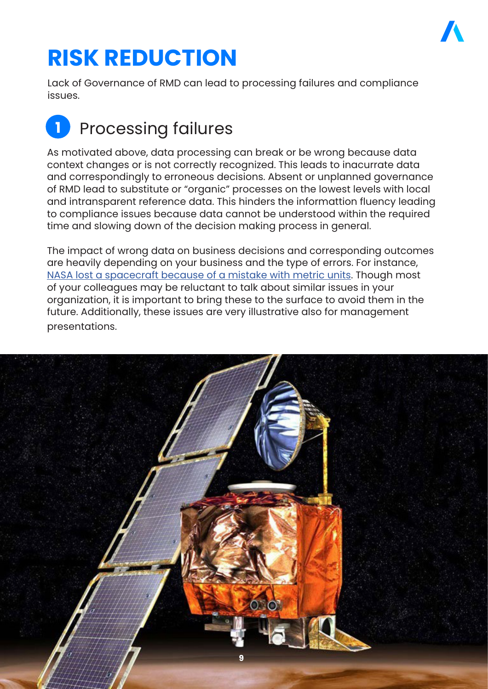

### **RISK REDUCTION**

Lack of Governance of RMD can lead to processing failures and compliance issues.

### **1** Processing failures

As motivated above, data processing can break or be wrong because data context changes or is not correctly recognized. This leads to inacurrate data and correspondingly to erroneous decisions. Absent or unplanned governance of RMD lead to substitute or "organic" processes on the lowest levels with local and intransparent reference data. This hinders the informattion fluency leading to compliance issues because data cannot be understood within the required time and slowing down of the decision making process in general.

The impact of wrong data on business decisions and corresponding outcomes are heavily depending on your business and the type of errors. For instance, [NASA lost a spacecraft because of a mistake with metric units](https://www.simscale.com/blog/2017/12/nasa-mars-climate-orbiter-metric/). Though most of your colleagues may be reluctant to talk about similar issues in your organization, it is important to bring these to the surface to avoid them in the future. Additionally, these issues are very illustrative also for management presentations.

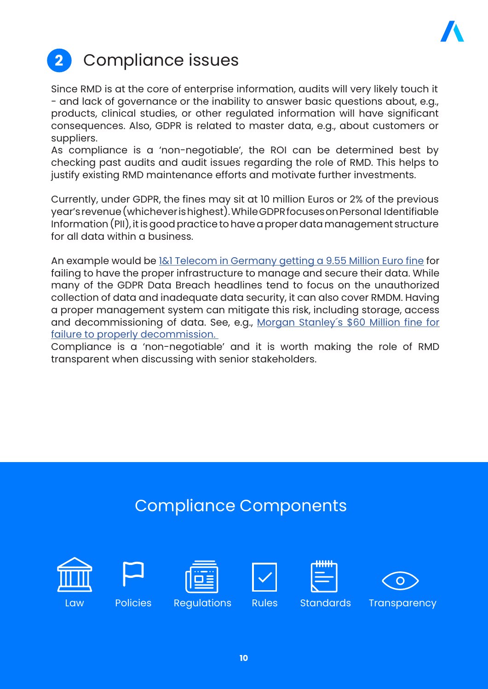

### **2** Compliance issues

Since RMD is at the core of enterprise information, audits will very likely touch it - and lack of governance or the inability to answer basic questions about, e.g., products, clinical studies, or other regulated information will have significant consequences. Also, GDPR is related to master data, e.g., about customers or suppliers.

As compliance is a 'non-negotiable', the ROI can be determined best by checking past audits and audit issues regarding the role of RMD. This helps to justify existing RMD maintenance efforts and motivate further investments.

Currently, under GDPR, the fines may sit at 10 million Euros or 2% of the previous year's revenue (whichever is highest). While GDPR focuses on Personal Identifiable Information (PII), it is good practice to have a proper data management structure for all data within a business.

An example would be [1&1 Telecom in Germany getting a 9.55 Million Euro fine](https://dataprivacymanager.net/e9-55-million-gdpr-fine-for-11-telecom-in-germany/) for failing to have the proper infrastructure to manage and secure their data. While many of the GDPR Data Breach headlines tend to focus on the unauthorized collection of data and inadequate data security, it can also cover RMDM. Having a proper management system can mitigate this risk, including storage, access and decommissioning of data. See, e.g., [Morgan Stanley´s \\$60 Million fine for](https://www.occ.gov/static/enforcement-actions/ea2020-058.pdf) [failure to properly decommission.](https://www.occ.gov/static/enforcement-actions/ea2020-058.pdf)

Compliance is a 'non-negotiable' and it is worth making the role of RMD transparent when discussing with senior stakeholders.

#### Compliance Components













Law Policies Regulations Rules Standards Transparency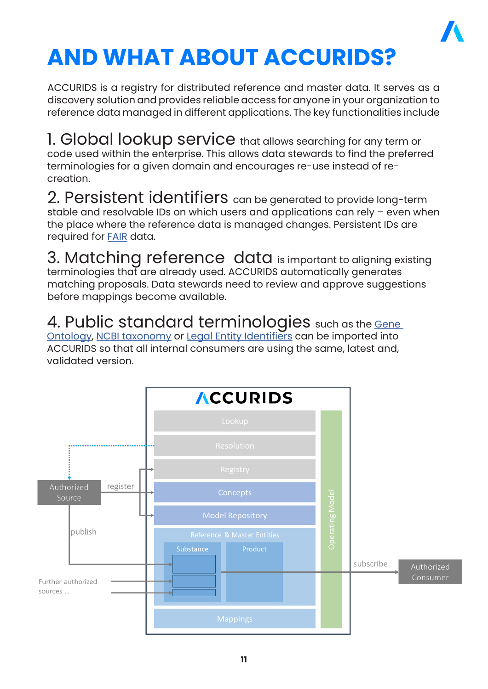

## **AND WHAT ABOUT ACCURIDS?**

ACCURIDS is a registry for distributed reference and master data. It serves as a discovery solution and provides reliable access for anyone in your organization to reference data managed in different applications. The key functionalities include

1. Global lookup service that allows searching for any term or code used within the enterprise. This allows data stewards to find the preferred terminologies for a given domain and encourages re-use instead of recreation.

2. Persistent identifiers can be generated to provide long-term stable and resolvable IDs on which users and applications can rely – even when the place where the reference data is managed changes. Persistent IDs are required for [FAIR](https://www.go-fair.org/fair-principles/) data.

3. Matching reference data is important to aligning existing terminologies that are already used. ACCURIDS automatically generates matching proposals. Data stewards need to review and approve suggestions before mappings become available.

4. Public standard terminologies such as the Gene [Ontology](http://geneontology.org/), [NCBI taxonomy](https://www.ncbi.nlm.nih.gov/taxonomy) or [Legal Entity Identifiers](https://www.gleif.org/de/about-lei/introducing-the-legal-entity-identifier-lei) can be imported into ACCURIDS so that all internal consumers are using the same, latest and, validated version.

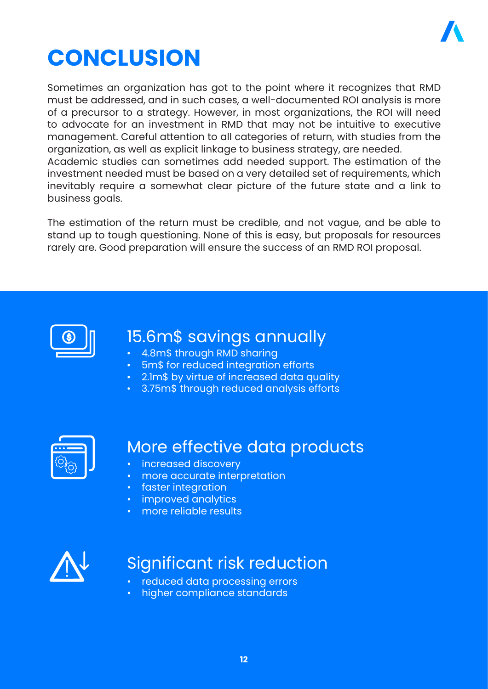

### **CONCLUSION**

Sometimes an organization has got to the point where it recognizes that RMD must be addressed, and in such cases, a well-documented ROI analysis is more of a precursor to a strategy. However, in most organizations, the ROI will need to advocate for an investment in RMD that may not be intuitive to executive management. Careful attention to all categories of return, with studies from the organization, as well as explicit linkage to business strategy, are needed. Academic studies can sometimes add needed support. The estimation of the investment needed must be based on a very detailed set of requirements, which inevitably require a somewhat clear picture of the future state and a link to business goals.

The estimation of the return must be credible, and not vague, and be able to stand up to tough questioning. None of this is easy, but proposals for resources rarely are. Good preparation will ensure the success of an RMD ROI proposal.



#### 15.6m\$ savings annually

- 4.8m\$ through RMD sharing
- 5m\$ for reduced integration efforts
- 2.1m\$ by virtue of increased data quality
- 3.75m\$ through reduced analysis efforts



#### More effective data products

- increased discovery
- more accurate interpretation
- faster integration
- improved analytics
- more reliable results



#### Significant risk reduction

- reduced data processing errors
- higher compliance standards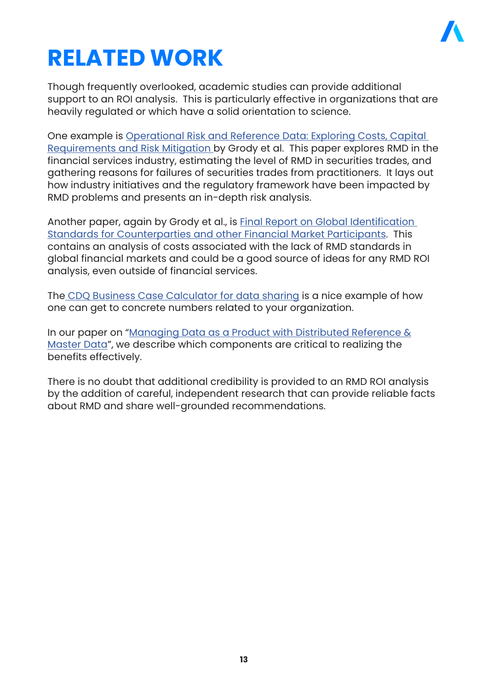

### **RELATED WORK**

Though frequently overlooked, academic studies can provide additional support to an ROI analysis. This is particularly effective in organizations that are heavily regulated or which have a solid orientation to science.

One example is [Operational Risk and Reference Data: Exploring Costs, Capital](https://papers.ssrn.com/sol3/papers.cfm?abstract_id=849224)  [Requirements and Risk Mitigation](https://papers.ssrn.com/sol3/papers.cfm?abstract_id=849224) by Grody et al. This paper explores RMD in the financial services industry, estimating the level of RMD in securities trades, and gathering reasons for failures of securities trades from practitioners. It lays out how industry initiatives and the regulatory framework have been impacted by RMD problems and presents an in-depth risk analysis.

Another paper, again by Grody et al., is [Final Report on Global Identification](https://papers.ssrn.com/sol3/papers.cfm?abstract_id=2016874)  [Standards for Counterparties and other Financial Market Participants.](https://papers.ssrn.com/sol3/papers.cfm?abstract_id=2016874) This contains an analysis of costs associated with the lack of RMD standards in global financial markets and could be a good source of ideas for any RMD ROI analysis, even outside of financial services.

The [CDQ Business Case Calculator for data sharing](https://www.cdq.ch/businesscase) is a nice example of how one can get to concrete numbers related to your organization.

In our paper on "[Managing Data as a Product with Distributed Reference &](https://www.insights.accurids.com/rmdm) [Master Data](https://www.insights.accurids.com/rmdm)", we describe which components are critical to realizing the benefits effectively.

There is no doubt that additional credibility is provided to an RMD ROI analysis by the addition of careful, independent research that can provide reliable facts about RMD and share well-grounded recommendations.